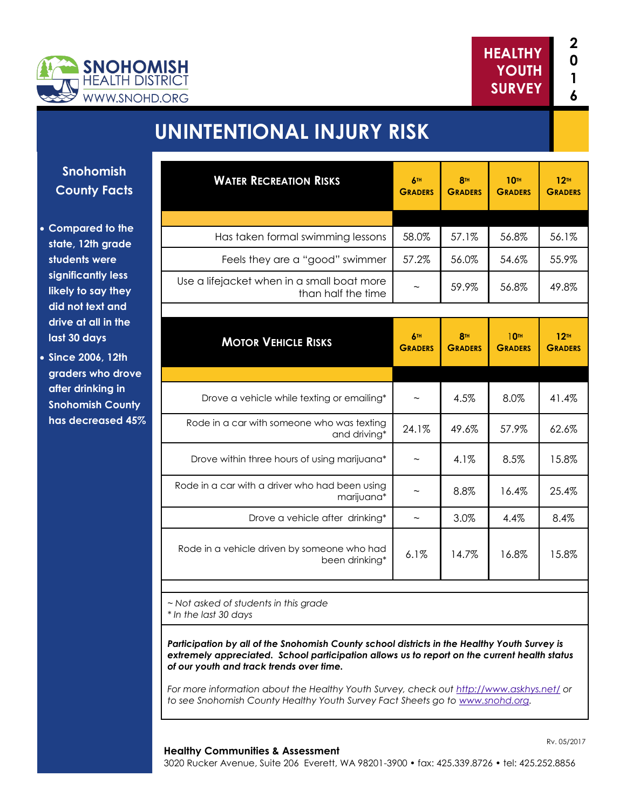



# **UNINTENTIONAL INJURY RISK**

**Snohomish County Facts**

- **Compared to the state, 12th grade students were significantly less likely to say they did not text and drive at all in the last 30 days**
- **Since 2006, 12th graders who drove after drinking in Snohomish County has decreased 45%**

| <b>WATER RECREATION RISKS</b>                                    | 6TH<br><b>GRADERS</b>        | <b>8TH</b><br><b>GRADERS</b> | <b>10TH</b><br><b>GRADERS</b>      | 12 <sup>m</sup><br><b>GRADERS</b> |
|------------------------------------------------------------------|------------------------------|------------------------------|------------------------------------|-----------------------------------|
|                                                                  |                              |                              |                                    |                                   |
| Has taken formal swimming lessons                                | 58.0%                        | 57.1%                        | 56.8%                              | 56.1%                             |
| Feels they are a "good" swimmer                                  | 57.2%                        | 56.0%                        | 54.6%                              | 55.9%                             |
| Use a lifejacket when in a small boat more<br>than half the time | $\tilde{}$                   | 59.9%                        | 56.8%                              | 49.8%                             |
|                                                                  |                              |                              |                                    |                                   |
| <b>MOTOR VEHICLE RISKS</b>                                       | <b>6TH</b><br><b>GRADERS</b> | <b>8TH</b><br><b>GRADERS</b> | 10 <sup>th</sup><br><b>GRADERS</b> | 12 <sup>m</sup><br><b>GRADERS</b> |
|                                                                  |                              |                              |                                    |                                   |
| Drove a vehicle while texting or emailing*                       |                              | 4.5%                         | 8.0%                               | 41.4%                             |
| Rode in a car with someone who was texting<br>and driving*       | 24.1%                        | 49.6%                        | 57.9%                              | 62.6%                             |
| Drove within three hours of using marijuana*                     |                              | 4.1%                         | 8.5%                               | 15.8%                             |
| Rode in a car with a driver who had been using<br>marijuana*     |                              | 8.8%                         | 16.4%                              | 25.4%                             |
| Drove a vehicle after drinking*                                  |                              | 3.0%                         | 4.4%                               | 8.4%                              |
| Rode in a vehicle driven by someone who had<br>been drinking*    | 6.1%                         | 14.7%                        | 16.8%                              | 15.8%                             |

*~ Not asked of students in this grade \* In the last 30 days*

*Participation by all of the Snohomish County school districts in the Healthy Youth Survey is extremely appreciated. School participation allows us to report on the current health status of our youth and track trends over time.*

*For more information about the Healthy Youth Survey, check out <http://www.askhys.net/> or to see Snohomish County Healthy Youth Survey Fact Sheets go to [www.snohd.org.](http://www.snohd.org/)* 

#### **Healthy Communities & Assessment**

3020 Rucker Avenue, Suite 206 Everett, WA 98201-3900 • fax: 425.339.8726 • tel: 425.252.8856